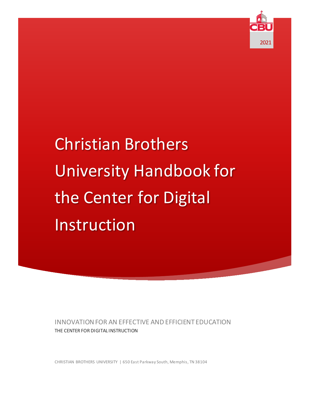

# Christian Brothers University Handbook for the Center for Digital Instruction

INNOVATION FOR AN EFFECTIVE AND EFFICIENT EDUCATION THE CENTER FOR DIGITAL INSTRUCTION

CHRISTIAN BROTHERS UNIVERSITY | 650 East Parkway South, Memphis, TN 38104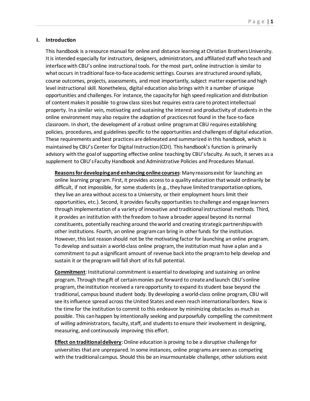# **I. Introduction**

This handbook is a resource manual for online and distance learning at Christian Brothers University. It is intended especially for instructors, designers, administrators, and affiliated staff who teach and interface with CBU's online instructional tools. For the most part, online instruction is similar to what occurs in traditional face-to-face academic settings. Courses are structured around syllabi, course outcomes, projects, assessments, and most importantly, subject matter expertise and high level instructional skill. Nonetheless, digital education also brings with it a number of unique opportunities and challenges. For instance, the capacity for high speed replication and distribution of content makes it possible to grow class sizes but requires extra care to protect intellectual property. In a similar vein, motivating and sustaining the interest and productivity of students in the online environment may also require the adoption of practices not found in the face-to-face classroom. In short, the development of a robust online program at CBU requires establishing policies, procedures, and guidelines specific to the opportunities and challenges of digital education. These requirements and best practices are delineated and summarized in this handbook, which is maintained by CBU's Center for Digital Instruction(CDI). This handbook's function is primarily advisory with the goal of supporting effective online teaching by CBU's faculty. As such, it serves as a supplement to CBU's Faculty Handbook and Administrative Policies and Procedures Manual.

**Reasons for developing and enhancing online courses**: Many reasons exist for launching an online learning program. First, it provides access to a quality education that would ordinarily be difficult, if not impossible, for some students (e.g., they have limited transportation options, they live an area without access to a University, or their employment hours limit their opportunities, etc.). Second, it provides faculty opportunities to challenge and engage learners through implementation of a variety of innovative and traditional instructional methods. Third, it provides an institution with the freedom to have a broader appeal beyond its normal constituents, potentially reaching around the world and creating strategic partnerships with other institutions. Fourth, an online program can bring in other funds for the institution. However, this last reason should not be the motivating factor for launching an online program. To develop and sustain a world-class online program, the institution must have a plan and a commitment to put a significant amount of revenue back into the program to help develop and sustain it or the program will fall short of its full potential.

**Commitment**: Institutional commitment is essential to developing and sustaining an online program. Through the gift of certain monies put forward to create and launch CBU's online program, the institution received a rare opportunity to expand its student base beyond the traditional, campus bound student body. By developing a world-class online program, CBU will see its influence spread across the United States and even reach international borders. Now is the time for the institution to commit to this endeavor by minimizing obstacles as much as possible. This can happen by intentionally seeking and purposefully compelling the commitment of *willing* administrators, faculty, staff, and students to ensure their involvement in designing, measuring, and continuously improving this effort.

**Effect on traditional delivery**: Online education is proving to be a disruptive challenge for universities that are unprepared. In some instances, online programs are seen as competing with the traditional campus. Should this be an insurmountable challenge, other solutions exist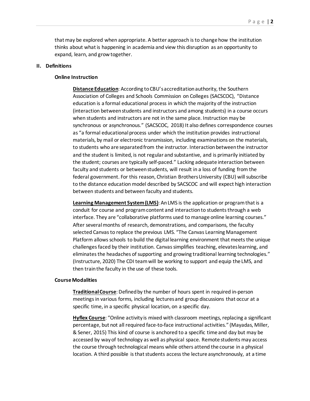that may be explored when appropriate. A better approach is to change how the institution thinks about what is happening in academia and view this disruption as an opportunity to expand, learn, and grow together.

# **II. Definitions**

# **Online Instruction**

**Distance Education**: According to CBU's accreditation authority, the Southern Association of Colleges and Schools Commission on Colleges (SACSCOC), "Distance education is a formal educational process in which the majority of the instruction (interaction between students and instructors and among students) in a course occurs when students and instructors are not in the same place. Instruction may be synchronous or asynchronous." (SACSCOC, 2018) It also defines correspondence courses as "a formal educational process under which the institution provides instructional materials, by mail or electronic transmission, including examinations on the materials, to students who are separated from the instructor. Interaction between the instructor and the student is limited, is not regular and substantive, and is primarily initiated by the student; courses are typically self-paced." Lacking adequate interaction between faculty and students or betweenstudents, will result in a loss of funding from the federal government. For this reason, Christian Brothers University (CBU) will subscribe to the distance education model described by SACSCOC and will expect high interaction between students and between faculty and students.

**Learning Management System(LMS)**: An LMS is the application or program that is a conduit for course and program content and interaction to students through a web interface. They are "collaborative platforms used to manage online learning courses." After several months of research, demonstrations, and comparisons, the faculty selected Canvas to replace the previous LMS. "The Canvas Learning Management Platform allows schools to build the digital learning environment that meets the unique challenges faced by their institution. Canvas simplifies teaching, elevates learning, and eliminates the headaches of supporting and growing traditional learning technologies." (Instructure, 2020) The CDI team will be working to support and equip the LMS, and then trainthe faculty in the use of these tools.

# **Course Modalities**

**Traditional Course**: Defined by the number of hours spent in required in-person meetings in various forms, including lectures and group discussions that occur at a specific time, in a specific physical location, on a specific day.

**Hyflex Course**: "Online activity is mixed with classroom meetings, replacing a significant percentage, but not all required face-to-face instructional activities." (Mayadas, Miller, & Sener, 2015) This kind of course is anchored to a specific time and day but may be accessed by way of technology as well as physical space. Remote students may access the course through technological means while others attend the course in a physical location. A third possible is that students access the lecture asynchronously, at a time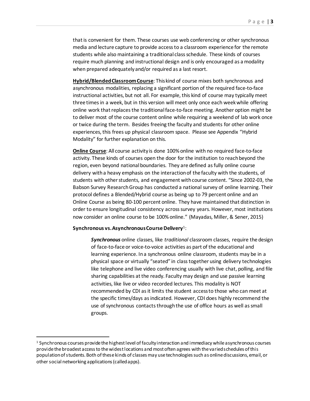that is convenient for them. These courses use web conferencing or other synchronous media and lecture capture to provide access to a classroom experience for the remote students while also maintaining a traditional class schedule. These kinds of courses require much planning and instructional design and is only encouraged as a modality when prepared adequately and/or required as a last resort.

**Hybrid/Blended Classroom Course**: This kind of course mixes both synchronous and asynchronous modalities, replacing a significant portion of the required face-to-face instructional activities, but not all. For example, this kind of course may typically meet three times in a week, but in this version will meet only once each week while offering online work that replaces the traditional face-to-face meeting. Another option might be to deliver most of the course content online while requiring a weekend of lab work once or twice during the term. Besides freeing the faculty and students for other online experiences, this frees up physical classroom space. Please see Appendix "Hybrid Modality" for further explanation on this.

**Online Course**: All course activity is done 100% online with no required face-to-face activity. These kinds of courses open the door for the institution to reach beyond the region, even beyond national boundaries. They are defined asfully online course delivery with a heavy emphasis on the interaction of the faculty with the students, of students with other students, and engagement with course content. "Since 2002-03, the Babson Survey Research Group has conducted a national survey of online learning. Their protocol defines a Blended/Hybrid course as being up to 79 percent online and an Online Course as being 80-100 percent online. They have maintained that distinction in order to ensure longitudinal consistency across survey years. However, most institutions now consider an online course to be 100% online." (Mayadas, Miller, & Sener, 2015)

# **Synchronous vs. Asynchronous Course Delivery**[1](#page-3-0):

*Synchronous* online classes, like *traditional* classroom classes, require the design of face-to-face or voice-to-voice activities as part of the educational and learning experience. In a synchronous online classroom, students may be in a physical space or virtually "seated" in class together using delivery technologies like telephone and live video conferencing usually with live chat, polling, and file sharing capabilities at the ready. Faculty may design and use passive learning activities, like live or video recorded lectures. This modality is NOT recommended by CDI as it limits the student access to those who can meet at the specific times/days as indicated. However, CDI does highly recommend the use of synchronous contacts through the use of office hours as well as small groups.

<span id="page-3-0"></span> <sup>1</sup> Synchronous courses provide the highest level of faculty interaction and immediacy while asynchronous courses provide the broadest access to the widest locations and most often agrees with the varied schedules of this population of students. Both of these kinds of classes may use technologies such as online discussions, email, or other social networking applications (called apps).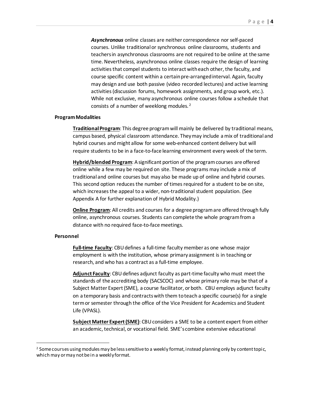*Asynchronous* online classes are neither correspondence nor self-paced courses. Unlike traditional or synchronous online classrooms, students and teachers in asynchronous classrooms are not required to be online at the same time. Nevertheless, asynchronous online classes require the design of learning activities that compel students to interact with each other, the faculty, and course specific content within a certain pre-arranged interval. Again, faculty may design and use both passive (video recorded lectures) and active learning activities (discussion forums, homework assignments, and group work, etc.). While not exclusive, many asynchronous online courses follow a schedule that consists of a number of weeklong modules. [2](#page-4-0)

# **Program Modalities**

**Traditional Program**: This degree programwill mainly be delivered by traditional means, campus based, physical classroom attendance. Theymay include a mix of traditional and hybrid courses and might allow for some web-enhanced content delivery but will require students to be in a face-to-face learning environment every week of the term.

**Hybrid/blended Program**: A significant portion of the program courses are offered online while a few may be required on site. These programs may include a mix of traditional and online courses but may also be made up of online and hybrid courses. This second option reduces the number of times required for a student to be on site, which increases the appeal to a wider, non-traditional student population. (See Appendix A for further explanation of Hybrid Modality.)

**Online Program**: All credits and courses for a degree program are offered through fully online, asynchronous courses. Students can complete the whole program from a distance with no required face-to-face meetings.

# **Personnel**

Full-time Faculty: CBU defines a full-time faculty member as one whose major employment is with the institution, whose primary assignment is in teaching or research, and who has a contract as a full-time employee.

**Adjunct Faculty**: CBUdefines adjunct faculty as part-time faculty who must meet the standards of the accrediting body (SACSCOC) and whose primary role may be that of a Subject Matter Expert (SME), a course facilitator, or both. CBU employs adjunct faculty on a temporary basis and contractswith them to teach a specific course(s) for a single term or semester through the office of the Vice President for Academics and Student Life (VPASL).

**Subject Matter Expert(SME)**: CBUconsiders a SME to be a content expert from either an academic, technical, or vocational field. SME's combine extensive educational

<span id="page-4-0"></span><sup>&</sup>lt;sup>2</sup> Some courses using modules may be less sensitive to a weekly format, instead planning only by content topic, which may or may not be in a weekly format.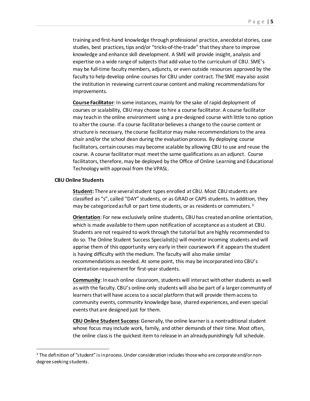training and first-hand knowledge through professional practice, anecdotal stories, case studies, best practices, tips and/or "tricks-of-the-trade" that they share to improve knowledge and enhance skill development. A SME will provide insight, analysis and expertise on a wide range of subjects that add value to the curriculum of CBU. SME's may be full-time faculty members, adjuncts, or even outside resources approved by the faculty to help develop online courses for CBU under contract. The SME may also assist the institution in reviewing current course content and making recommendations for improvements.

**Course Facilitator**: In some instances, mainly for the sake of rapid deployment of courses or scalability, CBU may choose to hire a course facilitator. A course facilitator may teach in the online environment using a pre-designed course with little to no option to alter the course. If a course facilitator believes a change to the course content or structure is necessary, the course facilitator may make recommendations to the area chair and/or the school dean during the evaluation process. By deploying course facilitators, certain courses may become scalable by allowing CBU to use and reuse the course. A course facilitator must meet the same qualifications as an adjunct. Course facilitators, therefore, may be deployed by the Office of Online Learning and Educational Technology with approval from the VPASL.

#### **CBU Online Students**

**Student:** There are several student types enrolled at CBU. Most CBU students are classified as "s", called "DAY" students, or as GRAD or CAPS students. In addition, they may be categorized as full or part time students, or as residents or commuters.<sup>[3](#page-5-0)</sup>

**Orientation**: For new exclusively online students, CBUhas createdan online orientation, which is made available to them upon notification of acceptance as a student at CBU. Students are not required to work through the tutorial but are highly recommended to do so. The Online Student Success Specialist(s) will monitor incoming students and will apprise them of this opportunity very early in their coursework if it appears the student is having difficulty with the medium. The faculty will also make similar recommendations as needed. At some point, this may be incorporated into CBU's orientation requirement for first-year students.

**Community**: In each online classroom, students will interact with other students as well as with the faculty. CBU's online-only students will also be part of a larger community of learners that will have access to a social platform that will provide them access to community events, community knowledge base, shared experiences, and even special events that are designed just for them.

**CBU Online Student Success**: Generally, the online learner is a nontraditional student whose focus may include work, family, and other demands of their time. Most often, the online class is the quickest item to release in an already punishingly full schedule.

<span id="page-5-0"></span> <sup>3</sup> The definition of "student" is in process. Under consideration includes those who are corporate and/or nondegree seeking students.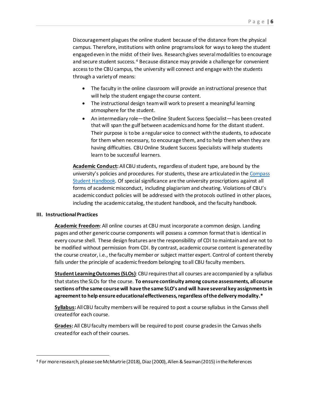Discouragement plagues the online student because of the distance from the physical campus. Therefore, institutions with online programs look for ways to keep the student engaged even in the midst of their lives. Research gives several modalities to encourage and secure student success. [4](#page-6-0) Because distance may provide a challenge for convenient access to the CBU campus, the university will connect and engage with the students through a varietyof means:

- The faculty in the online classroom will provide an instructional presence that will help the student engage the course content.
- The instructional design team will work to present a meaningful learning atmosphere for the student.
- An intermediary role—the Online Student Success Specialist—has been created that will span the gulf between academics and home for the distant student. Their purpose is to be a regular voice to connect with the students, to advocate for them when necessary, to encourage them, and to help them when they are having difficulties. CBU Online Student Success Specialists will help students learn to be successful learners.

**Academic Conduct:** All CBU students, regardless of student type, are bound by the university's policies and procedures. For students, these are articulated in th[e Compass](https://www.cbu.edu/the-compass)  [Student Handbook.](https://www.cbu.edu/the-compass) Of special significance are the university proscriptions against all forms of academic misconduct, including plagiarism and cheating. Violations of CBU's academic conduct policies will be addressed with the protocols outlined in other places, including the academic catalog, the student handbook, and the faculty handbook.

# **III. InstructionalPractices**

**Academic Freedom**: All online courses at CBU must incorporate a common design. Landing pages and other generic course components will possess a common format that is identical in every course shell. These design features are the responsibility of CDI to maintain and are not to be modified without permission from CDI. By contrast, academic course content is generated by the course creator, i.e., the faculty member or subject matter expert. Control of content thereby falls under the principle of academic freedom belonging to all CBU faculty members.

**Student Learning Outcomes (SLOs)**: CBU requires that all courses are accompanied by a syllabus that states the SLOs for the course. **To ensure continuity among course assessments, all course sections of the same course will have the same SLO's and will have several key assignments in agreement to help ensure educational effectiveness, regardless of the delivery modality.\***

**Syllabus:** AllCBU faculty members will be required to post a course syllabus in the Canvas shell created for each course.

**Grades:** All CBU faculty members will be required to post course grades in the Canvas shells created for each of their courses.

<span id="page-6-0"></span> <sup>4</sup> For more research, please see McMurtrie (2018), Diaz (2000), Allen & Seaman (2015) in the References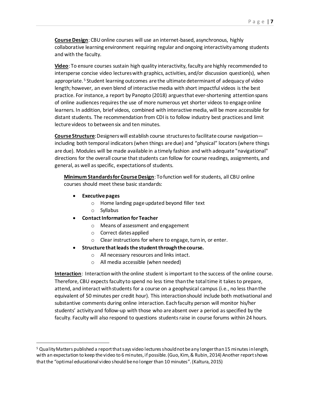**Course Design**: CBU online courses will use an internet-based, asynchronous, highly collaborative learning environment requiring regular and ongoing interactivity among students and with the faculty.

**Video**: To ensure courses sustain high quality interactivity, faculty are highly recommended to intersperse concise video lectures with graphics, activities, and/or discussion question(s), when appropriate.<sup>[5](#page-7-0)</sup> Student learning outcomes are the ultimate determinant of adequacy of video length; however, an even blend of interactivemedia with short impactful videos is the best practice. For instance, a report by Panopto (2018) argues that ever-shortening attention spans of online audiences requires the use of more numerous yet shorter videos to engage online learners. In addition, brief videos, combined with interactive media, will be more accessible for distant students. The recommendation from CDI is to follow industry best practices and limit lecture videos to between six and ten minutes.

**Course Structure**: Designers will establish course structures to facilitate course navigation including both temporal indicators (when things are due) and "physical" locators (where things are due). Modules will be made available in a timely fashion and with adequate "navigational" directions for the overall course that students can follow for course readings, assignments, and general, as well as specific, expectations of students.

**Minimum Standards for Course Design**: To function well for students, all CBU online courses should meet these basic standards:

- **Executive pages** 
	- o Home landing page updated beyond filler text
	- o Syllabus
- **Contact Information for Teacher** 
	- o Means of assessment and engagement
	- o Correct dates applied
	- o Clear instructions for where to engage, turn in, or enter.
- **Structure that leads the student through the course.** 
	- o All necessary resources and links intact.
	- o All media accessible (when needed)

**Interaction**: Interaction with the online student is important to the success of the online course. Therefore, CBU expectsfaculty to spend no less time than the total time it takes to prepare, attend, and interact with students for a course on a geophysical campus (i.e., no less than the equivalent of 50 minutes per credit hour). This interaction should include both motivational and substantive comments during online interaction. Each faculty person will monitor his/her students' activity and follow-up with those who are absent over a period as specified by the faculty. Faculty will also respond to questions students raise in course forums within 24 hours.

<span id="page-7-0"></span> <sup>5</sup> Quality Matters published a report that says video lectures should not be any longer than 15 minutes in length, with an expectation to keep the video to 6 minutes, if possible.(Guo, Kim, & Rubin, 2014) Another report shows that the "optimal educational video should be no longer than 10 minutes".(Kaltura, 2015)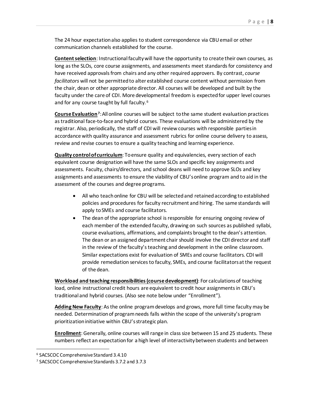The 24 hour expectation also applies to student correspondence via CBU email or other communication channels established for the course.

**Content selection**: Instructional facultywill have the opportunity to create their own courses, as long as the SLOs, core course assignments, and assessments meet standards for consistency and have received approvals from chairs and any other required approvers. By contrast, *course facilitators* will not be permitted to alter established course content without permission from the chair, dean or other appropriate director. All courses will be developed and built by the faculty under the care of CDI. More developmental freedom is expected for upper level courses and for any course taught by full faculty.<sup>[6](#page-8-0)</sup>

**Course Evaluation[7](#page-8-1)**: All online courses will be subject to the same student evaluation practices as traditional face-to-face and hybrid courses. These evaluations will be administered by the registrar. Also, periodically, the staff of CDI will review courses with responsible parties in accordance with quality assurance and assessment rubrics for online course delivery to assess, review and revise courses to ensure a quality teaching and learning experience.

**Quality control of curriculum**: To ensure quality and equivalencies, every section of each equivalent course designation will have the same SLOs and specific key assignments and assessments. Faculty, chairs/directors, and school deans will need to approve SLOs and key assignments and assessments to ensure the viability of CBU's online program and to aid in the assessment of the courses and degree programs.

- All who teach online for CBU will be selected and retained according to established policies and procedures for faculty recruitment and hiring. The same standards will apply toSMEs and course facilitators.
- The dean of the appropriate school is responsible for ensuring ongoing review of each member of the extended faculty, drawing on such sources as published syllabi, course evaluations, affirmations, and complaints brought to the dean's attention. The dean or an assigned department chair should involve the CDI director and staff in the review of the faculty's teaching and development in the online classroom. Similar expectations exist for evaluation of SMEs and course facilitators. CDI will provide remediation services to faculty, SMEs, and course facilitators at the request of the dean.

**Workload and teaching responsibilities (course development)**: For calculations of teaching load, online instructional credit hours are equivalent to credit hour assignments in CBU's traditional and hybrid courses. (Also see note below under "Enrollment").

**Adding New Faculty**: As the online program develops and grows, more full time faculty may be needed. Determination of program needs falls within the scope of the university's program prioritization initiative within CBU's strategic plan.

**Enrollment**: Generally, online courses will range in class size between 15 and 25 students. These numbers reflect an expectation for a high level of interactivity between students and between

<span id="page-8-0"></span> <sup>6</sup> SACSCOC Comprehensive Standard 3.4.10

<span id="page-8-1"></span><sup>7</sup> SACSCOC Comprehensive Standards 3.7.2 and 3.7.3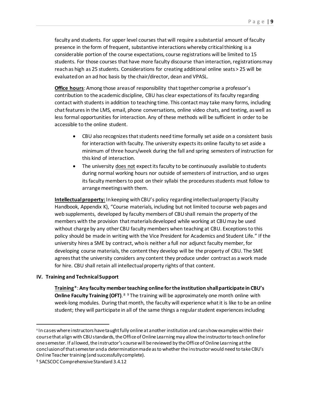faculty and students. For upper level courses that will require a substantial amount of faculty presence in the form of frequent, substantive interactions whereby critical thinking is a considerable portion of the course expectations, course registrations will be limited to 15 students. For those courses that have more faculty discourse than interaction, registrations may reach as high as 25 students. Considerations for creating additional online seats > 25 will be evaluated on an ad hoc basis by the chair/director, dean and VPASL.

**Office hours**: Among those areas of responsibility that together comprise a professor's contribution to the academic discipline, CBU has clear expectations of its faculty regarding contact with students in addition to teaching time. This contact may take many forms, including chat features in the LMS, email, phone conversations, online video chats, and texting, as well as less formal opportunities for interaction. Any of these methods will be sufficient in order to be accessible to the online student.

- CBU also recognizes that students need time formally set aside on a consistent basis for interaction with faculty. The university expects its online faculty to set aside a minimum of three hours/week during the fall and spring semesters of instruction for this kind of interaction.
- The university does not expect its faculty to be continuously available to students during normal working hours nor outside of semesters of instruction, and so urges its faculty members to post on their syllabi the procedures students must follow to arrange meetings with them.

**Intellectual property:** In keeping with CBU's policy regarding intellectual property (Faculty Handbook, Appendix K), "Course materials, including but not limited to course web pages and web supplements, developed by faculty members of CBU shall remain the property of the members with the provision that materials developed while working at CBU may be used without charge by any other CBU faculty members when teaching at CBU. Exceptions to this policy should be made in writing with the Vice President for Academics and Student Life." If the university hires a SME by contract, who is neither a full nor adjunct faculty member, for developing course materials, the content they develop will be the property of CBU. The SME agrees that the university considers any content they produce under contract as a work made for hire. CBU shall retain all intellectual property rights of that content.

# **IV. Training and Technical Support**

**Training**\*: **Any faculty member teaching online for the institution shallparticipate in CBU's Online Faculty Training (OFT)**. [8](#page-9-0) [9](#page-9-1) The training will be approximately one month online with week-long modules. During that month, the faculty will experience what it is like to be an online student; they will participate in all of the same things a regular student experiences including

<span id="page-9-0"></span><sup>&</sup>lt;sup>8</sup> In cases where instructors have taught fully online at another institution and can show examples within their course that align with CBU standards, the Office of Online Learning may allow the instructor to teach online for one semester. If allowed, the instructor's course will be reviewed by the Office of Online Learning at the conclusionof that semester and a determination made as to whether the instructor would need to take CBU's Online Teacher training (and successfully complete).

<span id="page-9-1"></span><sup>9</sup> SACSCOC Comprehensive Standard 3.4.12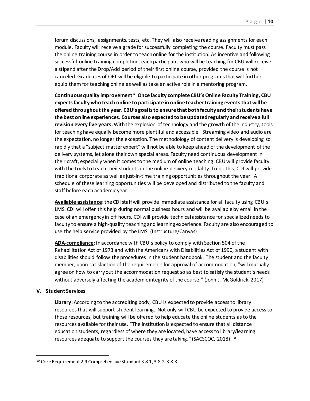forum discussions, assignments, tests, etc. They will also receive reading assignments for each module. Faculty will receive a grade for successfully completing the course. Faculty must pass the online training course in order to teach online for the institution. As incentive and following successful online training completion, each participant who will be teaching for CBU will receive a stipend after the Drop/Add period of their first online course, provided the course is not canceled. Graduates of OFT will be eligible to participate in other programs that will further equip them for teaching online as well as take an active role in a mentoring program.

**Continuous quality improvement**\*: **Once faculty complete CBU's Online Faculty Training, CBU expects faculty who teach online to participate in online teacher training events that will be offered throughout the year. CBU's goal is to ensure that both faculty and their students have the best online experiences. Courses also expectedto be updated regularly and receive a full revision every five years.** With the explosion of technology and the growth of the industry, tools for teaching have equally become more plentiful and accessible. Streaming video and audio are the expectation, no longer the exception. The methodology of content delivery is developing so rapidly that a "subject matter expert" will not be able to keep ahead of the development of the delivery systems, let alone their own special areas. Faculty need continuous development in their craft, especially when it comes to the medium of online teaching. CBU will provide faculty with the tools to teach their students in the online delivery modality. To do this, CDI will provide traditional corporate as well as just-in-time training opportunities throughout the year. A schedule of these learning opportunities will be developed and distributed to the faculty and staff before each academic year.

Available assistance: the CDI staff will provide immediate assistance for all faculty using CBU's LMS. CDI will offer this help during normal business hours and will be available by email in the case of an emergency in off hours. CDI will provide technical assistance for specialized needs to faculty to ensure a high-quality teaching and learning experience. Faculty are also encouraged to use the help service provided by the LMS. (Instructure/Canvas)

**ADA-compliance**: In accordance with CBU's policy to comply with Section 504 of the Rehabilitation Act of 1973 and with the Americans with Disabilities Act of 1990, a student with disabilities should follow the procedures in the student handbook. The student and the faculty member, upon satisfaction of the requirements for approval of accommodation, "will mutually agree on how to carry out the accommodation request so as best to satisfy the student's needs without adversely affecting the academic integrity of the course." (John J. McGoldrick, 2017)

# **V. Student Services**

**Library:** According to the accrediting body, CBU is expected to provide access to library resources that will support student learning. Not only will CBU be expected to provide access to those resources, but training will be offered to help educate the online students as to the resources available for their use. "The institution is expected to ensure that all distance education students, regardless of where they are located, have access to library/learning resources adequate to support the courses they are taking." (SACSCOC, 2018) [10](#page-10-0)

<span id="page-10-0"></span> <sup>10</sup> Core Requirement 2.9 Comprehensive Standard 3.8.1, 3.8.2, 3.8.3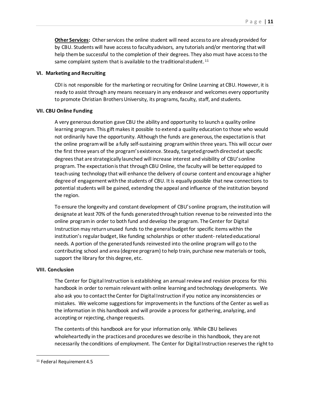**Other Services:** Other services the online student will need access to are already provided for by CBU. Students will have access to faculty advisors, any tutorials and/or mentoring that will help them be successful to the completion of their degrees. They also must have access to the same complaint system that is available to the traditional student.<sup>[11](#page-11-0)</sup>

# **VI. Marketing and Recruiting**

CDI is not responsible for the marketing or recruiting for Online Learning at CBU. However, it is ready to assist through any means necessary in any endeavor and welcomes every opportunity to promote Christian Brothers University, its programs, faculty, staff, and students.

# **VII. CBU Online Funding**

A very generous donation gave CBU the ability and opportunity to launch a quality online learning program. This gift makes it possible to extend a quality education to those who would not ordinarily have the opportunity. Although the funds are generous, the expectation is that the online program will be a fully self-sustaining program within three years. This will occur over the first three years of the program's existence. Steady, targeted growth directed at specific degrees that are strategically launched will increase interest and visibility of CBU's online program. The expectation is that through CBU Online, the faculty will be better equipped to teach using technology that will enhance the delivery of course content and encourage a higher degree of engagement with the students of CBU. It is equally possible that new connections to potential students will be gained, extending the appeal and influence of the institution beyond the region.

To ensure the longevity and constant development of CBU's online program, the institution will designate at least 70% of the funds generatedthrough tuition revenue to be reinvested into the online program in order to both fund and develop the program. The Center for Digital Instruction may return unused funds to the general budget for specific items within the institution's regular budget, like funding scholarships or other student- related educational needs. A portion of the generated funds reinvested into the online program will go to the contributing school and area (degree program) to help train, purchase new materials or tools, support the library for this degree, etc.

#### **VIII. Conclusion**

The Center for Digital Instruction is establishing an annual review and revision process for this handbook in order to remain relevant with online learning and technology developments. We also ask you to contact the Center for Digital Instruction if you notice any inconsistencies or mistakes. We welcome suggestions for improvements in the functions of the Center as well as the information in this handbook and will provide a process for gathering, analyzing, and accepting or rejecting, change requests.

The contents of this handbook are for your information only. While CBU believes wholeheartedly in the practices and procedures we describe in this handbook, they are not necessarily the conditions of employment. The Center for Digital Instruction reserves the right to

<span id="page-11-0"></span> <sup>11</sup> Federal Requirement 4.5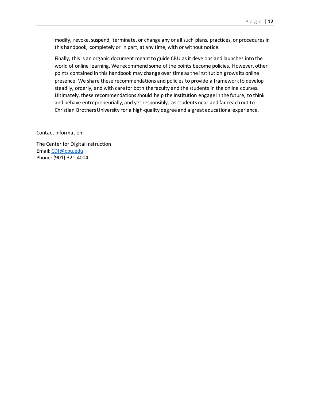modify, revoke, suspend, terminate, or change any or all such plans, practices, or procedures in this handbook, completely or in part, at any time, with or without notice.

Finally, this is an organic document meant to guide CBU as it develops and launches into the world of online learning. We recommend some of the points become policies. However, other points contained in this handbook may change over time as the institution grows its online presence. We share these recommendations and policies to provide a framework to develop steadily, orderly, and with care for both the faculty and the students in the online courses. Ultimately, these recommendations should help the institution engage in the future, to think and behave entrepreneurially, and yet responsibly, as students near and far reach out to Christian Brothers University for a high-quality degree and a great educational experience.

Contact information:

The Center for Digital Instruction Email: [CDI@cbu.edu](mailto:OLET@cbu.edu) Phone: (901) 321-4004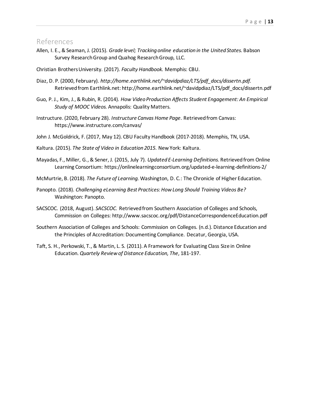# References

Allen, I. E., & Seaman, J. (2015). *Grade level; Tracking online education in the United States.* Babson Survey Research Group and Quahog Research Group, LLC.

Christian Brothers University. (2017). *Faculty Handbook.* Memphis: CBU.

- Diaz, D. P. (2000, February). *http://home.earthlink.net/~davidpdiaz/LTS/pdf\_docs/dissertn.pdf.* Retrieved from Earthlink.net: http://home.earthlink.net/~davidpdiaz/LTS/pdf\_docs/dissertn.pdf
- Guo, P. J., Kim, J., & Rubin, R. (2014). *How Video Production Affects Student Engagement: An Empirical Study of MOOC Videos.* Annapolis: Quality Matters.
- Instructure. (2020, February 28). *Instructure Canvas Home Page*. Retrieved from Canvas: https://www.instructure.com/canvas/
- John J. McGoldrick, F. (2017, May 12). CBU Faculty Handbook (2017-2018). Memphis, TN, USA.
- Kaltura. (2015). *The State of Video in Education 2015.* New York: Kaltura.
- Mayadas, F., Miller, G., & Sener, J. (2015, July 7). *Updated E-Learning Definitions.* Retrieved from Online Learning Consortium: https://onlinelearningconsortium.org/updated-e-learning-definitions-2/
- McMurtrie, B. (2018). *The Future of Learning.* Washington, D. C.: The Chronicle of Higher Education.
- Panopto. (2018). *Challenging eLearning Best Practices: How Long Should Training Videos Be?* Washington: Panopto.
- SACSCOC. (2018, August). *SACSCOC.* Retrieved from Southern Association of Colleges and Schools, Commission on Colleges: http://www.sacscoc.org/pdf/DistanceCorrespondenceEducation.pdf
- Southern Association of Colleges and Schools: Commission on Colleges. (n.d.). Distance Education and the Principles of Accreditation: Documenting Compliance. Decatur, Georgia, USA.
- Taft, S. H., Perkowski, T., & Martin, L. S. (2011). A Framework for Evaluating Class Size in Online Education. *Quartely Review of Distance Education, The*, 181-197.